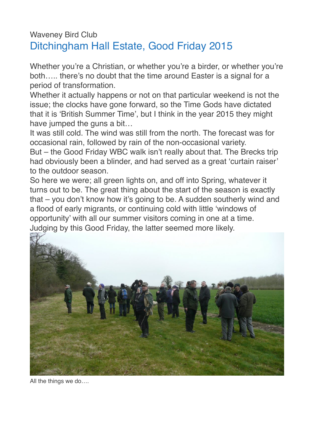## Waveney Bird Club Ditchingham Hall Estate, Good Friday 2015

Whether you're a Christian, or whether you're a birder, or whether you're both….. there's no doubt that the time around Easter is a signal for a period of transformation.

Whether it actually happens or not on that particular weekend is not the issue; the clocks have gone forward, so the Time Gods have dictated that it is 'British Summer Time', but I think in the year 2015 they might have jumped the guns a bit…

It was still cold. The wind was still from the north. The forecast was for occasional rain, followed by rain of the non-occasional variety.

But – the Good Friday WBC walk isn't really about that. The Brecks trip had obviously been a blinder, and had served as a great 'curtain raiser' to the outdoor season.

So here we were; all green lights on, and off into Spring, whatever it turns out to be. The great thing about the start of the season is exactly that – you don't know how it's going to be. A sudden southerly wind and a flood of early migrants, or continuing cold with little 'windows of opportunity' with all our summer visitors coming in one at a time. Judging by this Good Friday, the latter seemed more likely.



All the things we do….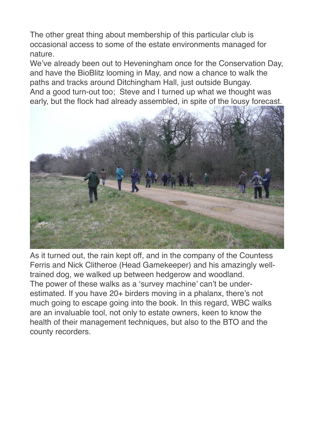The other great thing about membership of this particular club is occasional access to some of the estate environments managed for nature.

We've already been out to Heveningham once for the Conservation Day, and have the BioBlitz looming in May, and now a chance to walk the paths and tracks around Ditchingham Hall, just outside Bungay. And a good turn-out too; Steve and I turned up what we thought was early, but the flock had already assembled, in spite of the lousy forecast.



As it turned out, the rain kept off, and in the company of the Countess Ferris and Nick Clitheroe (Head Gamekeeper) and his amazingly welltrained dog, we walked up between hedgerow and woodland. The power of these walks as a 'survey machine' can't be underestimated. If you have 20+ birders moving in a phalanx, there's not much going to escape going into the book. In this regard, WBC walks are an invaluable tool, not only to estate owners, keen to know the health of their management techniques, but also to the BTO and the county recorders.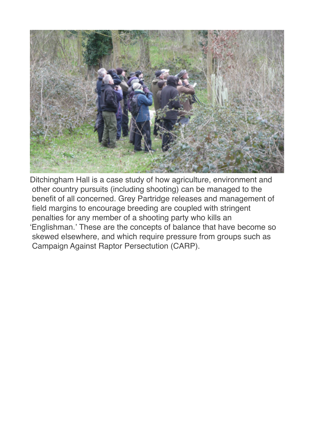

Ditchingham Hall is a case study of how agriculture, environment and other country pursuits (including shooting) can be managed to the benefit of all concerned. Grey Partridge releases and management of field margins to encourage breeding are coupled with stringent penalties for any member of a shooting party who kills an 'Englishman.' These are the concepts of balance that have become so skewed elsewhere, and which require pressure from groups such as Campaign Against Raptor Persectution (CARP).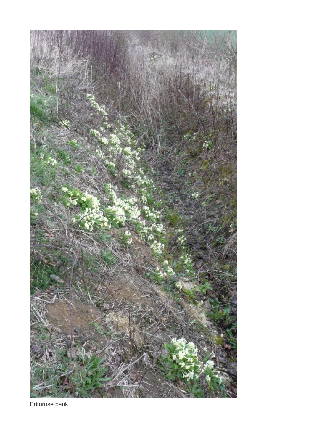

Primrose bank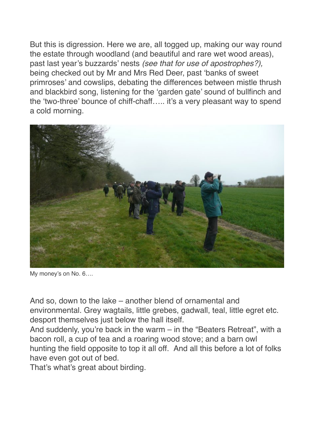But this is digression. Here we are, all togged up, making our way round the estate through woodland (and beautiful and rare wet wood areas), past last year's buzzards' nests *(see that for use of apostrophes?),*  being checked out by Mr and Mrs Red Deer, past 'banks of sweet primroses' and cowslips, debating the differences between mistle thrush and blackbird song, listening for the 'garden gate' sound of bullfinch and the 'two-three' bounce of chiff-chaff….. it's a very pleasant way to spend a cold morning.



My money's on No. 6….

And so, down to the lake – another blend of ornamental and environmental. Grey wagtails, little grebes, gadwall, teal, little egret etc. desport themselves just below the hall itself.

And suddenly, you're back in the warm – in the "Beaters Retreat", with a bacon roll, a cup of tea and a roaring wood stove; and a barn owl hunting the field opposite to top it all off. And all this before a lot of folks have even got out of bed.

That's what's great about birding.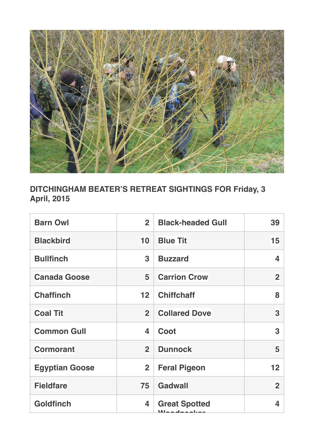

## **DITCHINGHAM BEATER'S RETREAT SIGHTINGS FOR Friday, 3 April, 2015**

| <b>Barn Owl</b>       | 2 <sup>1</sup>  | <b>Black-headed Gull</b>                  | 39                |
|-----------------------|-----------------|-------------------------------------------|-------------------|
| <b>Blackbird</b>      | 10              | <b>Blue Tit</b>                           | 15                |
| <b>Bullfinch</b>      | 3               | <b>Buzzard</b>                            | 4                 |
| <b>Canada Goose</b>   | 5               | <b>Carrion Crow</b>                       | $\overline{2}$    |
| <b>Chaffinch</b>      | 12 <sub>2</sub> | <b>Chiffchaff</b>                         | 8                 |
| <b>Coal Tit</b>       | $\overline{2}$  | <b>Collared Dove</b>                      | 3                 |
| <b>Common Gull</b>    | 4               | Coot                                      | 3                 |
| <b>Cormorant</b>      | $\overline{2}$  | <b>Dunnock</b>                            | 5                 |
| <b>Egyptian Goose</b> | $\overline{2}$  | <b>Feral Pigeon</b>                       | $12 \overline{ }$ |
| <b>Fieldfare</b>      | 75              | <b>Gadwall</b>                            | $\overline{2}$    |
| <b>Goldfinch</b>      | 4               | <b>Great Spotted</b><br>مباحد والمدم اللا | 4                 |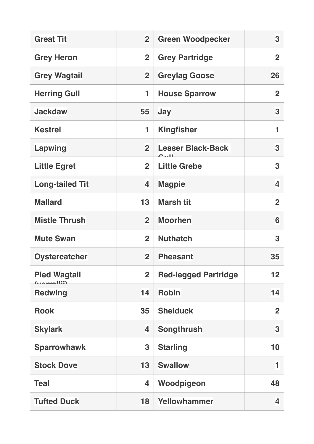| <b>Great Tit</b>       | $\overline{2}$ | <b>Green Woodpecker</b>                                  | 3              |
|------------------------|----------------|----------------------------------------------------------|----------------|
| <b>Grey Heron</b>      | $\overline{2}$ | <b>Grey Partridge</b>                                    | $\overline{2}$ |
| <b>Grey Wagtail</b>    | $\overline{2}$ | <b>Greylag Goose</b>                                     | 26             |
| <b>Herring Gull</b>    | 1              | <b>House Sparrow</b>                                     | $\overline{2}$ |
| <b>Jackdaw</b>         | 55             | <b>Jay</b>                                               | 3              |
| <b>Kestrel</b>         | 1              | <b>Kingfisher</b>                                        | 1              |
| <b>Lapwing</b>         | $\overline{2}$ | <b>Lesser Black-Back</b><br>$\sim$ $\sim$ $\blacksquare$ | 3              |
| <b>Little Egret</b>    | $\overline{2}$ | <b>Little Grebe</b>                                      | 3              |
| <b>Long-tailed Tit</b> | 4              | <b>Magpie</b>                                            | 4              |
| <b>Mallard</b>         | 13             | <b>Marsh tit</b>                                         | $\overline{2}$ |
| <b>Mistle Thrush</b>   | $\overline{2}$ | <b>Moorhen</b>                                           | 6              |
| <b>Mute Swan</b>       | $\overline{2}$ | <b>Nuthatch</b>                                          | 3              |
| <b>Oystercatcher</b>   | $\overline{2}$ | <b>Pheasant</b>                                          | 35             |
| <b>Pied Wagtail</b>    | $\overline{2}$ | <b>Red-legged Partridge</b>                              | 12             |
| <b>Redwing</b>         | 14             | <b>Robin</b>                                             | 14             |
| <b>Rook</b>            | 35             | <b>Shelduck</b>                                          | $\overline{2}$ |
| <b>Skylark</b>         | 4              | <b>Songthrush</b>                                        | 3              |
| <b>Sparrowhawk</b>     | 3              | <b>Starling</b>                                          | 10             |
| <b>Stock Dove</b>      | 13             | <b>Swallow</b>                                           | 1              |
| <b>Teal</b>            | 4              | Woodpigeon                                               | 48             |
| <b>Tufted Duck</b>     | 18             | Yellowhammer                                             | 4              |